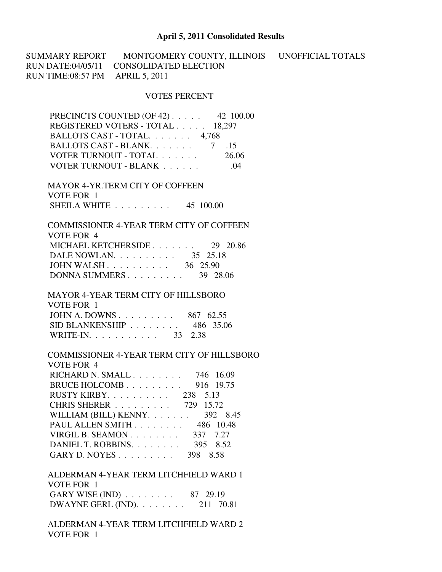## **April 5, 2011 Consolidated Results**

SUMMARY REPORT MONTGOMERY COUNTY, ILLINOIS UNOFFICIAL TOTALS RUN DATE:04/05/11 CONSOLIDATED ELECTION RUN TIME:08:57 PM APRIL 5, 2011

## VOTES PERCENT

| PRECINCTS COUNTED (OF 42) 42 100.00 |       |
|-------------------------------------|-------|
| REGISTERED VOTERS - TOTAL 18,297    |       |
| BALLOTS CAST - TOTAL. 4,768         |       |
|                                     | .15   |
| VOTER TURNOUT - TOTAL               | 26.06 |
| VOTER TURNOUT - BLANK               | -04   |

 MAYOR 4-YR.TERM CITY OF COFFEEN VOTE FOR 1 SHEILA WHITE . . . . . . . . . 45 100.00

 COMMISSIONER 4-YEAR TERM CITY OF COFFEEN VOTE FOR 4 MICHAEL KETCHERSIDE . . . . . . . 29 20.86 DALE NOWLAN. . . . . . . . . . . 35 25.18 JOHN WALSH . . . . . . . . . . 36 25.90 DONNA SUMMERS . . . . . . . . . 39 28.06

 MAYOR 4-YEAR TERM CITY OF HILLSBORO VOTE FOR 1 JOHN A. DOWNS . . . . . . . . . 867 62.55 SID BLANKENSHIP . . . . . . . . 486 35.06 WRITE-IN. . . . . . . . . . . 33 2.38

 COMMISSIONER 4-YEAR TERM CITY OF HILLSBORO VOTE FOR 4 RICHARD N. SMALL . . . . . . . . 746 16.09 BRUCE HOLCOMB . . . . . . . . . 916 19.75 RUSTY KIRBY. . . . . . . . . . 238 5.13 CHRIS SHERER . . . . . . . . . 729 15.72 WILLIAM (BILL) KENNY. . . . . . . . 392 8.45 PAUL ALLEN SMITH . . . . . . . . 486 10.48 VIRGIL B. SEAMON . . . . . . . . 337 7.27 DANIEL T. ROBBINS. . . . . . . . . 395 8.52 GARY D. NOYES . . . . . . . . . 398 8.58

 ALDERMAN 4-YEAR TERM LITCHFIELD WARD 1 VOTE FOR 1 GARY WISE (IND) . . . . . . . . 87 29.19 DWAYNE GERL (IND). . . . . . . . 211 70.81

 ALDERMAN 4-YEAR TERM LITCHFIELD WARD 2 VOTE FOR 1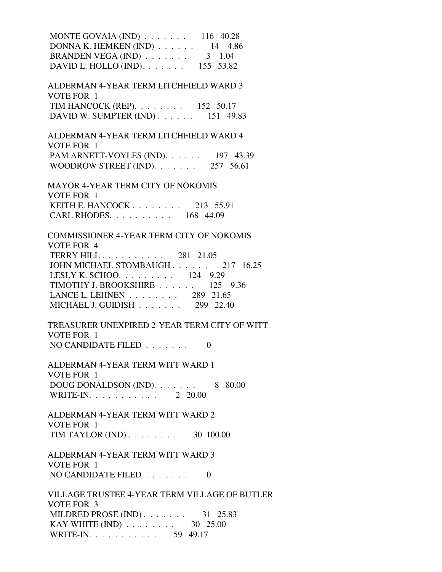MONTE GOVAIA (IND) . . . . . . . 116 40.28 DONNA K. HEMKEN (IND) . . . . . . 14 4.86 BRANDEN VEGA (IND)  $\ldots \ldots$  3 1.04 DAVID L. HOLLO (IND). . . . . . . . 155 53.82 ALDERMAN 4-YEAR TERM LITCHFIELD WARD 3 VOTE FOR 1 TIM HANCOCK (REP). . . . . . . . 152 50.17 DAVID W. SUMPTER (IND) . . . . . . 151 49.83 ALDERMAN 4-YEAR TERM LITCHFIELD WARD 4 VOTE FOR 1 PAM ARNETT-VOYLES (IND). . . . . . 197 43.39 WOODROW STREET (IND). . . . . . . 257 56.61 MAYOR 4-YEAR TERM CITY OF NOKOMIS VOTE FOR 1 KEITH E. HANCOCK . . . . . . . . 213 55.91 CARL RHODES. . . . . . . . . . 168 44.09 COMMISSIONER 4-YEAR TERM CITY OF NOKOMIS VOTE FOR 4 TERRY HILL . . . . . . . . . . 281 21.05 JOHN MICHAEL STOMBAUGH . . . . . . 217 16.25 LESLY K. SCHOO. . . . . . . . . 124 9.29 TIMOTHY J. BROOKSHIRE . . . . . . 125 9.36 LANCE L. LEHNEN . . . . . . . . 289 21.65 MICHAEL J. GUIDISH . . . . . . . 299 22.40 TREASURER UNEXPIRED 2-YEAR TERM CITY OF WITT VOTE FOR 1 NO CANDIDATE FILED  $\ldots$ , . . . . 0 ALDERMAN 4-YEAR TERM WITT WARD 1 VOTE FOR 1 DOUG DONALDSON (IND). . . . . . . 8 80.00 WRITE-IN. . . . . . . . . . . 2 20.00 ALDERMAN 4-YEAR TERM WITT WARD 2 VOTE FOR 1 TIM TAYLOR (IND) . . . . . . . . 30 100.00 ALDERMAN 4-YEAR TERM WITT WARD 3 VOTE FOR 1 NO CANDIDATE FILED  $\ldots \ldots \ldots$  VILLAGE TRUSTEE 4-YEAR TERM VILLAGE OF BUTLER VOTE FOR 3 MILDRED PROSE (IND) . . . . . . . . 31 25.83 KAY WHITE (IND) . . . . . . . . . 30 25.00 WRITE-IN. . . . . . . . . . . . 59 49.17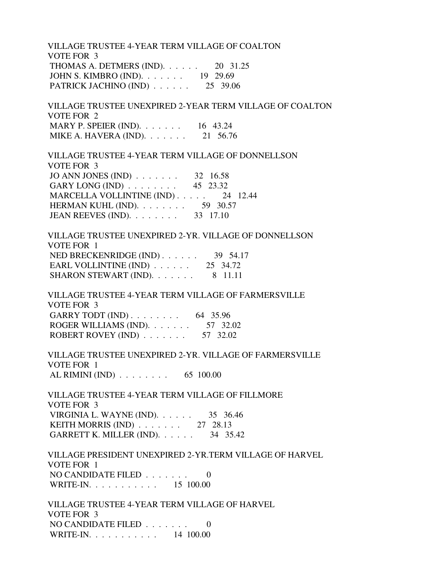VILLAGE TRUSTEE 4-YEAR TERM VILLAGE OF COALTON VOTE FOR 3 THOMAS A. DETMERS (IND). . . . . . 20 31.25 JOHN S. KIMBRO (IND). . . . . . . 19 29.69 PATRICK JACHINO (IND)  $\ldots$  . . . . 25 39.06

 VILLAGE TRUSTEE UNEXPIRED 2-YEAR TERM VILLAGE OF COALTON VOTE FOR 2 MARY P. SPEIER (IND). . . . . . . . 16 43.24 MIKE A. HAVERA (IND). . . . . . . 21 56.76

 VILLAGE TRUSTEE 4-YEAR TERM VILLAGE OF DONNELLSON VOTE FOR 3 JO ANN JONES (IND) . . . . . . . 32 16.58 GARY LONG (IND) . . . . . . . . 45 23.32 MARCELLA VOLLINTINE (IND) . . . . . 24 12.44 HERMAN KUHL (IND). . . . . . . . 59 30.57 JEAN REEVES (IND). . . . . . . . 33 17.10

 VILLAGE TRUSTEE UNEXPIRED 2-YR. VILLAGE OF DONNELLSON VOTE FOR 1 NED BRECKENRIDGE (IND) . . . . . . . 39 54.17 EARL VOLLINTINE (IND) . . . . . . 25 34.72 SHARON STEWART (IND).  $\ldots \ldots \ldots$  8 11.11

 VILLAGE TRUSTEE 4-YEAR TERM VILLAGE OF FARMERSVILLE VOTE FOR 3 GARRY TODT (IND) . . . . . . . . . 64 35.96 ROGER WILLIAMS (IND). . . . . . . 57 32.02 ROBERT ROVEY (IND)  $\ldots$  . . . . . . 57 32.02

 VILLAGE TRUSTEE UNEXPIRED 2-YR. VILLAGE OF FARMERSVILLE VOTE FOR 1 AL RIMINI (IND) . . . . . . . . 65 100.00

 VILLAGE TRUSTEE 4-YEAR TERM VILLAGE OF FILLMORE VOTE FOR 3 VIRGINIA L. WAYNE (IND). . . . . . 35 36.46 KEITH MORRIS (IND) . . . . . . . 27 28.13 GARRETT K. MILLER (IND). . . . . . 34 35.42

 VILLAGE PRESIDENT UNEXPIRED 2-YR.TERM VILLAGE OF HARVEL VOTE FOR 1 NO CANDIDATE FILED . . . . . . . 0 WRITE-IN. . . . . . . . . . . 15 100.00

 VILLAGE TRUSTEE 4-YEAR TERM VILLAGE OF HARVEL VOTE FOR 3 NO CANDIDATE FILED . . . . . . . 0 WRITE-IN. . . . . . . . . . . 14 100.00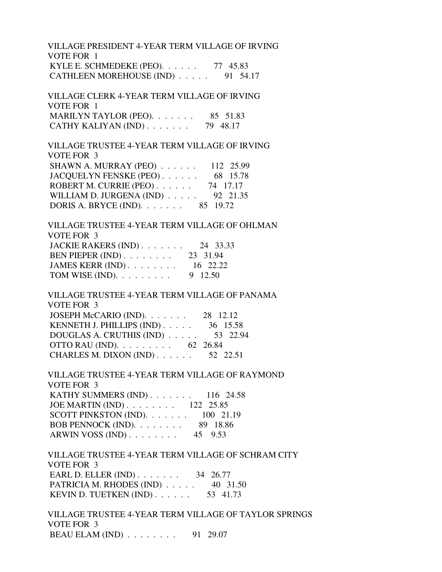VILLAGE PRESIDENT 4-YEAR TERM VILLAGE OF IRVING VOTE FOR 1 KYLE E. SCHMEDEKE (PEO). . . . . . 77 45.83 CATHLEEN MOREHOUSE (IND) . . . . . 91 54.17

 VILLAGE CLERK 4-YEAR TERM VILLAGE OF IRVING VOTE FOR 1 MARILYN TAYLOR (PEO). . . . . . . 85 51.83 CATHY KALIYAN (IND) . . . . . . . 79 48.17

 VILLAGE TRUSTEE 4-YEAR TERM VILLAGE OF IRVING VOTE FOR 3 SHAWN A. MURRAY (PEO) . . . . . . 112 25.99 JACQUELYN FENSKE (PEO) . . . . . . 68 15.78 ROBERT M. CURRIE (PEO) . . . . . . 74 17.17 WILLIAM D. JURGENA (IND) . . . . . 92 21.35 DORIS A. BRYCE (IND). . . . . . . 85 19.72

 VILLAGE TRUSTEE 4-YEAR TERM VILLAGE OF OHLMAN VOTE FOR 3 JACKIE RAKERS (IND) . . . . . . . 24 33.33 BEN PIEPER (IND) . . . . . . . . 23 31.94 JAMES KERR (IND) . . . . . . . . 16 22.22 TOM WISE (IND).  $\ldots \ldots \ldots$  9 12.50

 VILLAGE TRUSTEE 4-YEAR TERM VILLAGE OF PANAMA VOTE FOR 3 JOSEPH McCARIO (IND). . . . . . . 28 12.12 KENNETH J. PHILLIPS (IND) . . . . . 36 15.58 DOUGLAS A. CRUTHIS (IND) . . . . . 53 22.94 OTTO RAU (IND). . . . . . . . . 62 26.84 CHARLES M. DIXON (IND) . . . . . . 52 22.51

 VILLAGE TRUSTEE 4-YEAR TERM VILLAGE OF RAYMOND VOTE FOR 3 KATHY SUMMERS (IND) . . . . . . . 116 24.58 JOE MARTIN (IND) . . . . . . . . 122 25.85 SCOTT PINKSTON (IND). . . . . . . 100 21.19 BOB PENNOCK (IND). . . . . . . . 89 18.86 ARWIN VOSS (IND) . . . . . . . . 45 9.53

 VILLAGE TRUSTEE 4-YEAR TERM VILLAGE OF SCHRAM CITY VOTE FOR 3 EARL D. ELLER (IND) . . . . . . . . 34 26.77 PATRICIA M. RHODES (IND) . . . . . 40 31.50 KEVIN D. TUETKEN (IND) . . . . . . 53 41.73

 VILLAGE TRUSTEE 4-YEAR TERM VILLAGE OF TAYLOR SPRINGS VOTE FOR 3 BEAU ELAM (IND) . . . . . . . . 91 29.07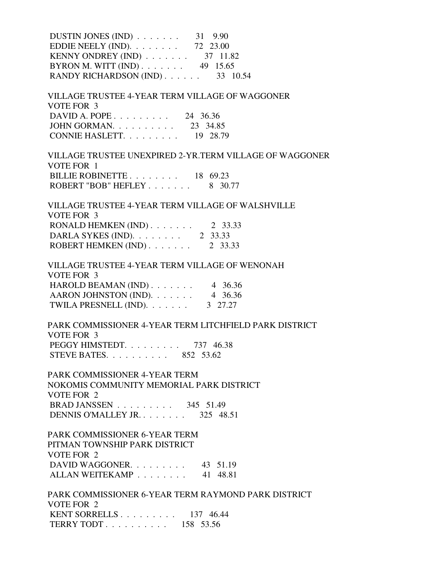| DUSTIN JONES (IND) $\ldots$ 31 9.90<br>EDDIE NEELY (IND). $\ldots$ 72 23.00<br>KENNY ONDREY (IND) $\ldots \ldots \ldots$ 37 11.82 |
|-----------------------------------------------------------------------------------------------------------------------------------|
| BYRON M. WITT (IND) $\ldots$ 49 15.65<br>RANDY RICHARDSON (IND) 33 10.54                                                          |
| VILLAGE TRUSTEE 4-YEAR TERM VILLAGE OF WAGGONER<br><b>VOTE FOR 3</b>                                                              |
| DAVID A. POPE 24 36.36                                                                                                            |
| JOHN GORMAN. 23 34.85                                                                                                             |
| CONNIE HASLETT. $\ldots$ 19 28.79                                                                                                 |
| VILLAGE TRUSTEE UNEXPIRED 2-YR.TERM VILLAGE OF WAGGONER<br>VOTE FOR 1                                                             |
| BILLIE ROBINETTE $\ldots \ldots \ldots$ 18 69.23                                                                                  |
| ROBERT "BOB" HEFLEY 8 30.77                                                                                                       |
| VILLAGE TRUSTEE 4-YEAR TERM VILLAGE OF WALSHVILLE<br><b>VOTE FOR 3</b>                                                            |
| RONALD HEMKEN (IND) $\ldots$ 2 33.33                                                                                              |
| DARLA SYKES (IND). $\ldots$ 2 33.33                                                                                               |
| ROBERT HEMKEN (IND) $\ldots$ 2 33.33                                                                                              |
| VILLAGE TRUSTEE 4-YEAR TERM VILLAGE OF WENONAH<br><b>VOTE FOR 3</b>                                                               |
| HAROLD BEAMAN (IND) $\ldots$ 4 36.36                                                                                              |
| AARON JOHNSTON (IND). $\ldots$ 4 36.36                                                                                            |
| TWILA PRESNELL (IND).<br>3 27.27                                                                                                  |
| PARK COMMISSIONER 4-YEAR TERM LITCHFIELD PARK DISTRICT<br>VOTE FOR 3                                                              |
| PEGGY HIMSTEDT. 737 46.38                                                                                                         |
| STEVE BATES. $\ldots$ $\ldots$ $\ldots$ 852 53.62                                                                                 |
| PARK COMMISSIONER 4-YEAR TERM                                                                                                     |
| NOKOMIS COMMUNITY MEMORIAL PARK DISTRICT<br>VOTE FOR 2                                                                            |
| BRAD JANSSEN $\ldots \ldots \ldots$ 345 51.49                                                                                     |
| DENNIS O'MALLEY JR 325 48.51                                                                                                      |
| PARK COMMISSIONER 6-YEAR TERM                                                                                                     |
| PITMAN TOWNSHIP PARK DISTRICT                                                                                                     |
| VOTE FOR 2                                                                                                                        |
| DAVID WAGGONER. 43 51.19                                                                                                          |
| ALLAN WEITEKAMP 41 48.81                                                                                                          |
| PARK COMMISSIONER 6-YEAR TERM RAYMOND PARK DISTRICT                                                                               |
| VOTE FOR 2                                                                                                                        |
| KENT SORRELLS $\ldots \ldots \ldots \ldots$ 137 46.44<br>TERRY TODT 158 53.56                                                     |
|                                                                                                                                   |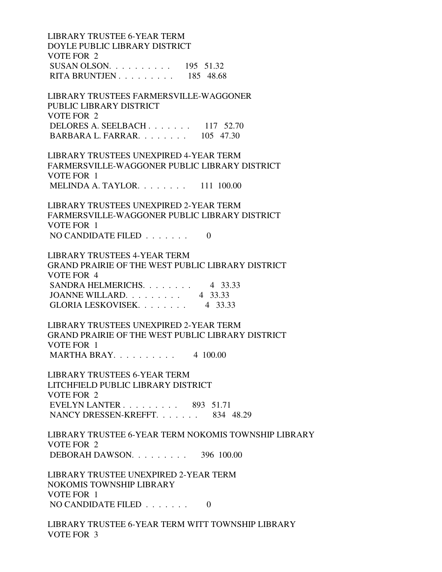LIBRARY TRUSTEE 6-YEAR TERM DOYLE PUBLIC LIBRARY DISTRICT VOTE FOR 2 SUSAN OLSON. . . . . . . . . . 195 51.32 RITA BRUNTJEN . . . . . . . . . 185 48.68 LIBRARY TRUSTEES FARMERSVILLE-WAGGONER PUBLIC LIBRARY DISTRICT VOTE FOR 2 DELORES A. SEELBACH . . . . . . . 117 52.70 BARBARA L. FARRAR. . . . . . . . 105 47.30 LIBRARY TRUSTEES UNEXPIRED 4-YEAR TERM FARMERSVILLE-WAGGONER PUBLIC LIBRARY DISTRICT VOTE FOR 1 MELINDA A. TAYLOR. . . . . . . . 111 100.00 LIBRARY TRUSTEES UNEXPIRED 2-YEAR TERM FARMERSVILLE-WAGGONER PUBLIC LIBRARY DISTRICT VOTE FOR 1 NO CANDIDATE FILED  $\ldots \ldots$  0 LIBRARY TRUSTEES 4-YEAR TERM GRAND PRAIRIE OF THE WEST PUBLIC LIBRARY DISTRICT VOTE FOR 4 SANDRA HELMERICHS. . . . . . . . 4 33.33 JOANNE WILLARD. . . . . . . . . 4 33.33 GLORIA LESKOVISEK. . . . . . . . 4 33.33 LIBRARY TRUSTEES UNEXPIRED 2-YEAR TERM GRAND PRAIRIE OF THE WEST PUBLIC LIBRARY DISTRICT VOTE FOR 1 MARTHA BRAY. . . . . . . . . . 4 100.00 LIBRARY TRUSTEES 6-YEAR TERM LITCHFIELD PUBLIC LIBRARY DISTRICT VOTE FOR 2 EVELYN LANTER . . . . . . . . . 893 51.71 NANCY DRESSEN-KREFFT. . . . . . . 834 48.29 LIBRARY TRUSTEE 6-YEAR TERM NOKOMIS TOWNSHIP LIBRARY VOTE FOR 2 DEBORAH DAWSON. . . . . . . . . 396 100.00 LIBRARY TRUSTEE UNEXPIRED 2-YEAR TERM NOKOMIS TOWNSHIP LIBRARY VOTE FOR 1 NO CANDIDATE FILED . . . . . . . 0 LIBRARY TRUSTEE 6-YEAR TERM WITT TOWNSHIP LIBRARY VOTE FOR 3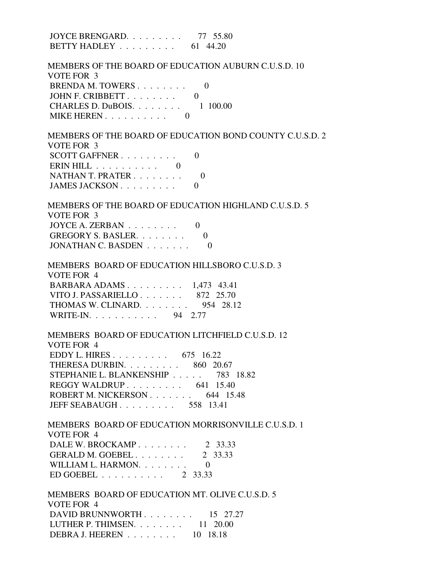| JOYCE BRENGARD. 77 55.80<br>BETTY HADLEY $\ldots \ldots \ldots$ 61 44.20                                                                                                                                                                                                    |
|-----------------------------------------------------------------------------------------------------------------------------------------------------------------------------------------------------------------------------------------------------------------------------|
| MEMBERS OF THE BOARD OF EDUCATION AUBURN C.U.S.D. 10<br>VOTE FOR 3<br>BRENDA M. TOWERS 0<br>JOHN F. CRIBBETT 0<br>CHARLES D. DuBOIS. $\ldots$ . $\ldots$ . 1 100.00<br>MIKE HEREN. 0                                                                                        |
| MEMBERS OF THE BOARD OF EDUCATION BOND COUNTY C.U.S.D. 2<br>VOTE FOR 3<br>SCOTT GAFFNER<br>$\theta$<br>ERIN HILL $\ldots \ldots \ldots \ldots$<br>NATHAN T. PRATER<br>- 0<br>JAMES JACKSON<br>$\theta$                                                                      |
| MEMBERS OF THE BOARD OF EDUCATION HIGHLAND C.U.S.D. 5<br>VOTE FOR 3<br>JOYCE A. ZERBAN $\ldots \ldots \ldots$ 0<br>GREGORY S. BASLER.<br>$\Omega$<br>JONATHAN C. BASDEN<br>$\theta$                                                                                         |
| MEMBERS BOARD OF EDUCATION HILLSBORO C.U.S.D. 3<br>VOTE FOR 4<br>BARBARA ADAMS 1,473 43.41<br>VITO J. PASSARIELLO 872 25.70<br>THOMAS W. CLINARD. $\ldots \ldots$ 954 28.12<br>WRITE-IN. 94 2.77                                                                            |
| MEMBERS BOARD OF EDUCATION LITCHFIELD C.U.S.D. 12<br>VOTE FOR 4<br>EDDY L. HIRES 675 16.22<br>THERESA DURBIN. 860 20.67<br>STEPHANIE L. BLANKENSHIP 783 18.82<br>REGGY WALDRUP $\ldots \ldots \ldots$ 641 15.40<br>ROBERT M. NICKERSON 644 15.48<br>JEFF SEABAUGH 558 13.41 |
| MEMBERS BOARD OF EDUCATION MORRISONVILLE C.U.S.D. 1<br>VOTE FOR 4<br>DALE W. BROCKAMP. $\ldots$ 2 33.33<br>GERALD M. GOEBEL 2 33.33<br>WILLIAM L. HARMON. 0<br>ED GOEBEL $\ldots$ 2 33.33                                                                                   |
| MEMBERS BOARD OF EDUCATION MT. OLIVE C.U.S.D. 5<br>VOTE FOR 4<br>DAVID BRUNNWORTH 15 27.27<br>LUTHER P. THIMSEN. $\ldots$ 11 20.00<br>DEBRA J. HEEREN 10 18.18                                                                                                              |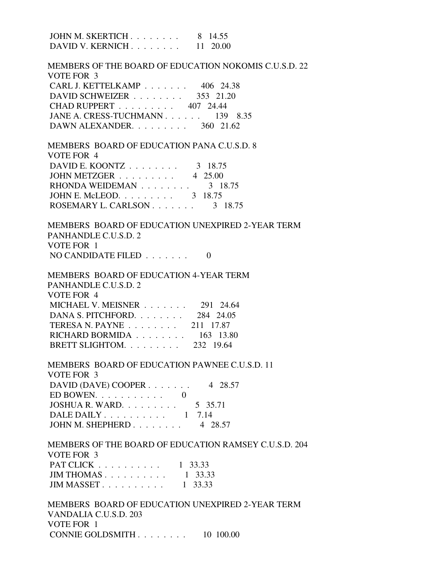JOHN M. SKERTICH . . . . . . . . 8 14.55 DAVID V. KERNICH . . . . . . . . . 11 20.00 MEMBERS OF THE BOARD OF EDUCATION NOKOMIS C.U.S.D. 22 VOTE FOR 3 CARL J. KETTELKAMP . . . . . . . 406 24.38 DAVID SCHWEIZER . . . . . . . . . 353 21.20 CHAD RUPPERT . . . . . . . . . 407 24.44 JANE A. CRESS-TUCHMANN . . . . . . 139 8.35 DAWN ALEXANDER. . . . . . . . . 360 21.62 MEMBERS BOARD OF EDUCATION PANA C.U.S.D. 8 VOTE FOR 4 DAVID E. KOONTZ . . . . . . . . . 3 18.75 JOHN METZGER . . . . . . . . . 4 25.00 RHONDA WEIDEMAN . . . . . . . . 3 18.75 JOHN E. McLEOD. . . . . . . . . . 3 18.75 ROSEMARY L. CARLSON . . . . . . . . 3 18.75 MEMBERS BOARD OF EDUCATION UNEXPIRED 2-YEAR TERM PANHANDLE C.U.S.D. 2 VOTE FOR 1 NO CANDIDATE FILED  $\ldots \ldots$  0 MEMBERS BOARD OF EDUCATION 4-YEAR TERM PANHANDLE C.U.S.D. 2 VOTE FOR 4 MICHAEL V. MEISNER . . . . . . . 291 24.64 DANA S. PITCHFORD. . . . . . . . 284 24.05 TERESA N. PAYNE . . . . . . . . 211 17.87 RICHARD BORMIDA . . . . . . . . 163 13.80 BRETT SLIGHTOM. . . . . . . . . 232 19.64 MEMBERS BOARD OF EDUCATION PAWNEE C.U.S.D. 11 VOTE FOR 3 DAVID (DAVE) COOPER . . . . . . . 4 28.57 ED BOWEN.  $\ldots$  . . . . . . . . 0 JOSHUA R. WARD. . . . . . . . . 5 35.71 DALE DAILY . . . . . . . . . . . 1 7.14 JOHN M. SHEPHERD . . . . . . . . 4 28.57 MEMBERS OF THE BOARD OF EDUCATION RAMSEY C.U.S.D. 204 VOTE FOR 3 PAT CLICK . . . . . . . . . . 1 33.33 JIM THOMAS . . . . . . . . . . . 1 33.33 JIM MASSET . . . . . . . . . . . 1 33.33 MEMBERS BOARD OF EDUCATION UNEXPIRED 2-YEAR TERM VANDALIA C.U.S.D. 203 VOTE FOR 1

CONNIE GOLDSMITH . . . . . . . . 10 100.00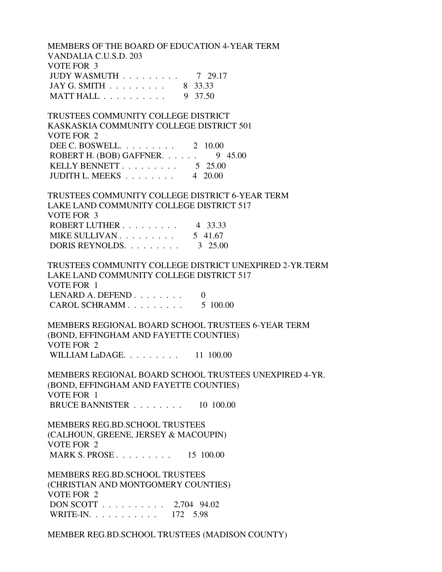MEMBERS OF THE BOARD OF EDUCATION 4-YEAR TERM VANDALIA C.U.S.D. 203 VOTE FOR 3 JUDY WASMUTH . . . . . . . . . 7 29.17 JAY G. SMITH . . . . . . . . . 8 33.33 MATT HALL . . . . . . . . . . 9 37.50 TRUSTEES COMMUNITY COLLEGE DISTRICT KASKASKIA COMMUNITY COLLEGE DISTRICT 501 VOTE FOR 2 DEE C. BOSWELL. . . . . . . . . 2 10.00 ROBERT H. (BOB) GAFFNER.  $\ldots$  . . . 9 45.00 KELLY BENNETT . . . . . . . . . . 5 25.00

JUDITH L. MEEKS . . . . . . . . 4 20.00

 TRUSTEES COMMUNITY COLLEGE DISTRICT 6-YEAR TERM LAKE LAND COMMUNITY COLLEGE DISTRICT 517 VOTE FOR 3 ROBERT LUTHER . . . . . . . . . 4 33.33 MIKE SULLIVAN . . . . . . . . . . . 5 41.67 DORIS REYNOLDS. . . . . . . . . 3 25.00

 TRUSTEES COMMUNITY COLLEGE DISTRICT UNEXPIRED 2-YR.TERM LAKE LAND COMMUNITY COLLEGE DISTRICT 517 VOTE FOR 1 LENARD A. DEFEND  $\ldots$  . . . . . . 0 CAROL SCHRAMM . . . . . . . . . 5 100.00

 MEMBERS REGIONAL BOARD SCHOOL TRUSTEES 6-YEAR TERM (BOND, EFFINGHAM AND FAYETTE COUNTIES) VOTE FOR 2 WILLIAM LaDAGE. . . . . . . . . 11 100.00

 MEMBERS REGIONAL BOARD SCHOOL TRUSTEES UNEXPIRED 4-YR. (BOND, EFFINGHAM AND FAYETTE COUNTIES) VOTE FOR 1 BRUCE BANNISTER . . . . . . . . 10 100.00

 MEMBERS REG.BD.SCHOOL TRUSTEES (CALHOUN, GREENE, JERSEY & MACOUPIN) VOTE FOR 2 MARK S. PROSE . . . . . . . . . . 15 100.00

 MEMBERS REG.BD.SCHOOL TRUSTEES (CHRISTIAN AND MONTGOMERY COUNTIES) VOTE FOR 2 DON SCOTT . . . . . . . . . . 2,704 94.02 WRITE-IN. . . . . . . . . . . 172 5.98

MEMBER REG.BD.SCHOOL TRUSTEES (MADISON COUNTY)